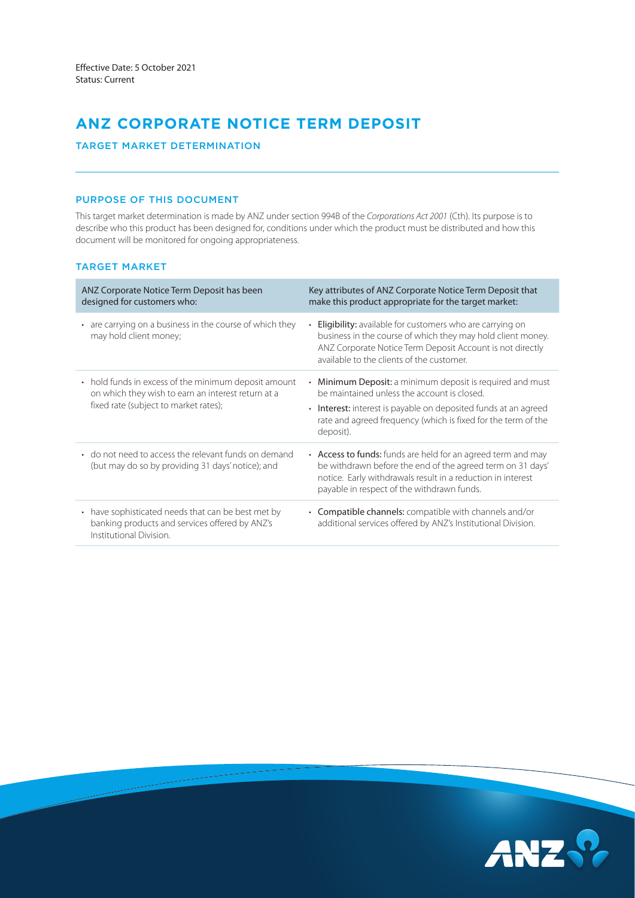# **ANZ CORPORATE NOTICE TERM DEPOSIT**

TARGET MARKET DETERMINATION

## PURPOSE OF THIS DOCUMENT

This target market determination is made by ANZ under section 994B of the *Corporations Act 2001* (Cth). Its purpose is to describe who this product has been designed for, conditions under which the product must be distributed and how this document will be monitored for ongoing appropriateness.

## TARGET MARKET

| ANZ Corporate Notice Term Deposit has been<br>designed for customers who:                                                                           | Key attributes of ANZ Corporate Notice Term Deposit that<br>make this product appropriate for the target market:                                                                                                                                               |
|-----------------------------------------------------------------------------------------------------------------------------------------------------|----------------------------------------------------------------------------------------------------------------------------------------------------------------------------------------------------------------------------------------------------------------|
| • are carrying on a business in the course of which they<br>may hold client money;                                                                  | <b>Eligibility:</b> available for customers who are carrying on<br>$\bullet$<br>business in the course of which they may hold client money.<br>ANZ Corporate Notice Term Deposit Account is not directly<br>available to the clients of the customer.          |
| • hold funds in excess of the minimum deposit amount<br>on which they wish to earn an interest return at a<br>fixed rate (subject to market rates); | <b>Minimum Deposit:</b> a minimum deposit is required and must<br>be maintained unless the account is closed.<br>• Interest: interest is payable on deposited funds at an agreed<br>rate and agreed frequency (which is fixed for the term of the<br>deposit). |
| • do not need to access the relevant funds on demand<br>(but may do so by providing 31 days' notice); and                                           | • Access to funds: funds are held for an agreed term and may<br>be withdrawn before the end of the agreed term on 31 days'<br>notice. Early withdrawals result in a reduction in interest<br>payable in respect of the withdrawn funds.                        |
| • have sophisticated needs that can be best met by<br>banking products and services offered by ANZ's<br>Institutional Division.                     | • Compatible channels: compatible with channels and/or<br>additional services offered by ANZ's Institutional Division.                                                                                                                                         |

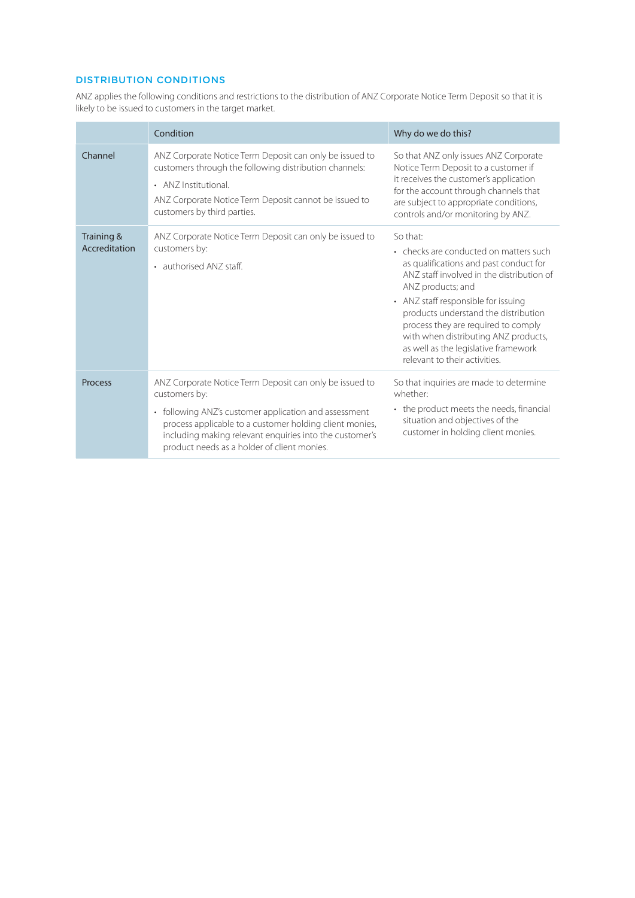## DISTRIBUTION CONDITIONS

ANZ applies the following conditions and restrictions to the distribution of ANZ Corporate Notice Term Deposit so that it is likely to be issued to customers in the target market.

|                             | Condition                                                                                                                                                                                                                                                                                              | Why do we do this?                                                                                                                                                                                                                                                                                                                                                                                    |
|-----------------------------|--------------------------------------------------------------------------------------------------------------------------------------------------------------------------------------------------------------------------------------------------------------------------------------------------------|-------------------------------------------------------------------------------------------------------------------------------------------------------------------------------------------------------------------------------------------------------------------------------------------------------------------------------------------------------------------------------------------------------|
| Channel                     | ANZ Corporate Notice Term Deposit can only be issued to<br>customers through the following distribution channels:<br>• ANZ Institutional<br>ANZ Corporate Notice Term Deposit cannot be issued to<br>customers by third parties.                                                                       | So that ANZ only issues ANZ Corporate<br>Notice Term Deposit to a customer if<br>it receives the customer's application<br>for the account through channels that<br>are subject to appropriate conditions,<br>controls and/or monitoring by ANZ.                                                                                                                                                      |
| Training &<br>Accreditation | ANZ Corporate Notice Term Deposit can only be issued to<br>customers by:<br>• authorised ANZ staff.                                                                                                                                                                                                    | So that:<br>• checks are conducted on matters such<br>as qualifications and past conduct for<br>ANZ staff involved in the distribution of<br>ANZ products; and<br>• ANZ staff responsible for issuing<br>products understand the distribution<br>process they are required to comply<br>with when distributing ANZ products,<br>as well as the legislative framework<br>relevant to their activities. |
| Process                     | ANZ Corporate Notice Term Deposit can only be issued to<br>customers by:<br>• following ANZ's customer application and assessment<br>process applicable to a customer holding client monies,<br>including making relevant enquiries into the customer's<br>product needs as a holder of client monies. | So that inquiries are made to determine<br>whether:<br>• the product meets the needs, financial<br>situation and objectives of the<br>customer in holding client monies.                                                                                                                                                                                                                              |